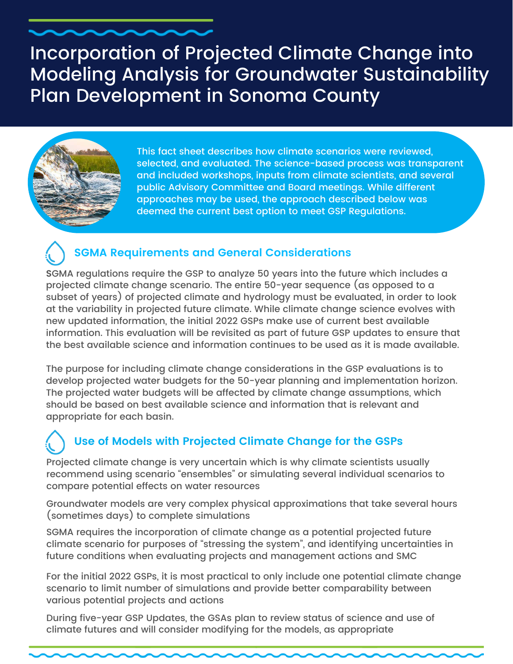## Incorporation of Projected Climate Change into Modeling Analysis for Groundwater Sustainability Plan Development in Sonoma County



This fact sheet describes how climate scenarios were reviewed, selected, and evaluated. The science-based process was transparent and included workshops, inputs from climate scientists, and several public Advisory Committee and Board meetings. While different approaches may be used, the approach described below was deemed the current best option to meet GSP Regulations.

### **SGMA Requirements and General Considerations**

**S**GMA regulations require the GSP to analyze 50 years into the future which includes a projected climate change scenario. The entire 50-year sequence (as opposed to a subset of years) of projected climate and hydrology must be evaluated, in order to look at the variability in projected future climate. While climate change science evolves with new updated information, the initial 2022 GSPs make use of current best available information. This evaluation will be revisited as part of future GSP updates to ensure that the best available science and information continues to be used as it is made available.

The purpose for including climate change considerations in the GSP evaluations is to develop projected water budgets for the 50-year planning and implementation horizon. The projected water budgets will be affected by climate change assumptions, which should be based on best available science and information that is relevant and appropriate for each basin.

## **Use of Models with Projected Climate Change for the GSPs**

Projected climate change is very uncertain which is why climate scientists usually recommend using scenario "ensembles" or simulating several individual scenarios to compare potential effects on water resources

Groundwater models are very complex physical approximations that take several hours (sometimes days) to complete simulations

SGMA requires the incorporation of climate change as a potential projected future climate scenario for purposes of "stressing the system", and identifying uncertainties in future conditions when evaluating projects and management actions and SMC

For the initial 2022 GSPs, it is most practical to only include one potential climate change scenario to limit number of simulations and provide better comparability between various potential projects and actions

During five-year GSP Updates, the GSAs plan to review status of science and use of climate futures and will consider modifying for the models, as appropriate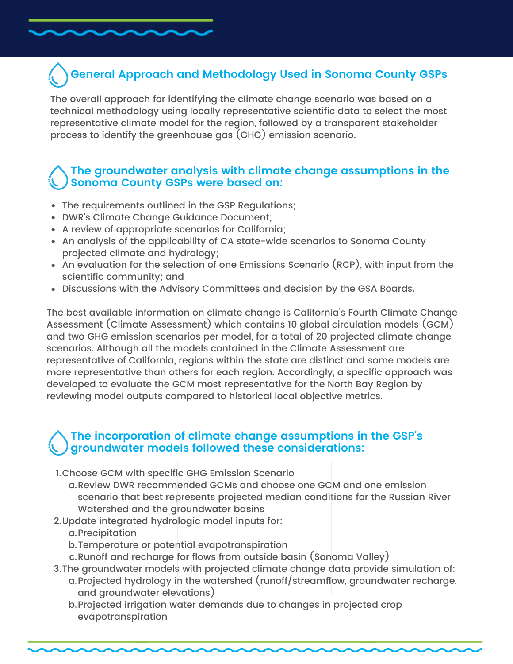## **General Approach and Methodology Used in Sonoma County GSPs**

The overall approach for identifying the climate change scenario was based on a technical methodology using locally representative scientific data to select the most representative climate model for the region, followed by a transparent stakeholder process to identify the greenhouse gas (GHG) emission scenario.

#### **The groundwater analysis with climate change assumptions in the Sonoma County GSPs were based on:**

- The requirements outlined in the GSP Regulations;
- DWR's Climate Change Guidance Document;
- A review of appropriate scenarios for California;
- An analysis of the applicability of CA state-wide scenarios to Sonoma County projected climate and hydrology;
- An evaluation for the selection of one Emissions Scenario (RCP), with input from the scientific community; and
- Discussions with the Advisory Committees and decision by the GSA Boards.

The best available information on climate change is California's Fourth Climate Change Assessment (Climate Assessment) which contains 10 global circulation models (GCM) and two GHG emission scenarios per model, for a total of 20 projected climate change scenarios. Although all the models contained in the Climate Assessment are representative of California, regions within the state are distinct and some models are more representative than others for each region. Accordingly, a specific approach was developed to evaluate the GCM most representative for the North Bay Region by reviewing model outputs compared to historical local objective metrics.

#### **The incorporation of climate change assumptions in the GSP's groundwater models followed these considerations:**

- 1.Choose GCM with specific GHG Emission Scenario
	- a.Review DWR recommended GCMs and choose one GCM and one emission scenario that best represents projected median conditions for the Russian River Watershed and the groundwater basins
- 2.Update integrated hydrologic model inputs for:
	- a.Precipitation
	- b.Temperature or potential evapotranspiration
	- c.Runoff and recharge for flows from outside basin (Sonoma Valley)
- 3. The groundwater models with projected climate change data provide simulation of:
	- a.Projected hydrology in the watershed (runoff/streamflow, groundwater recharge, and groundwater elevations)
	- b.Projected irrigation water demands due to changes in projected crop evapotranspiration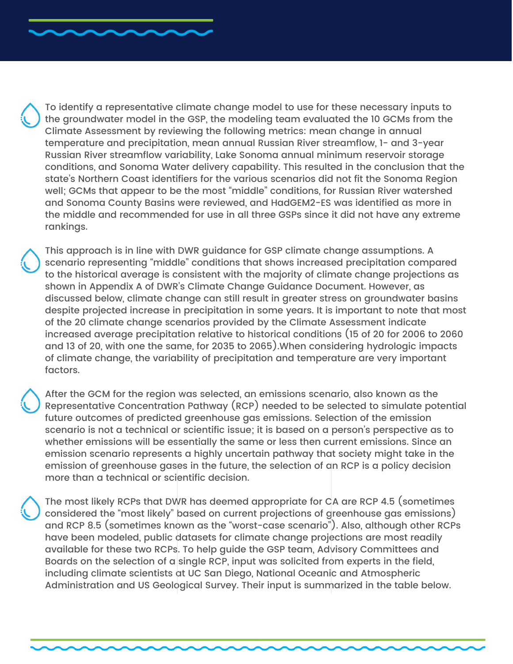To identify a representative climate change model to use for these necessary inputs to the groundwater model in the GSP, the modeling team evaluated the 10 GCMs from the Climate Assessment by reviewing the following metrics: mean change in annual temperature and precipitation, mean annual Russian River streamflow, 1- and 3-year Russian River streamflow variability, Lake Sonoma annual minimum reservoir storage conditions, and Sonoma Water delivery capability. This resulted in the conclusion that the state's Northern Coast identifiers for the various scenarios did not fit the Sonoma Region well; GCMs that appear to be the most "middle" conditions, for Russian River watershed and Sonoma County Basins were reviewed, and HadGEM2-ES was identified as more in the middle and recommended for use in all three GSPs since it did not have any extreme rankings.

This approach is in line with DWR guidance for GSP climate change assumptions. A scenario representing "middle" conditions that shows increased precipitation compared to the historical average is consistent with the majority of climate change projections as shown in Appendix A of DWR's Climate Change Guidance Document. However, as discussed below, climate change can still result in greater stress on groundwater basins despite projected increase in precipitation in some years. It is important to note that most of the 20 climate change scenarios provided by the Climate Assessment indicate increased average precipitation relative to historical conditions (15 of 20 for 2006 to 2060 and 13 of 20, with one the same, for 2035 to 2065).When considering hydrologic impacts of climate change, the variability of precipitation and temperature are very important factors.

After the GCM for the region was selected, an emissions scenario, also known as the Representative Concentration Pathway (RCP) needed to be selected to simulate potential future outcomes of predicted greenhouse gas emissions. Selection of the emission scenario is not a technical or scientific issue; it is based on a person's perspective as to whether emissions will be essentially the same or less then current emissions. Since an emission scenario represents a highly uncertain pathway that society might take in the emission of greenhouse gases in the future, the selection of an RCP is a policy decision more than a technical or scientific decision.

The most likely RCPs that DWR has deemed appropriate for CA are RCP 4.5 (sometimes considered the "most likely" based on current projections of greenhouse gas emissions) and RCP 8.5 (sometimes known as the "worst-case scenario"). Also, although other RCPs have been modeled, public datasets for climate change projections are most readily available for these two RCPs. To help guide the GSP team, Advisory Committees and Boards on the selection of a single RCP, input was solicited from experts in the field, including climate scientists at UC San Diego, National Oceanic and Atmospheric Administration and US Geological Survey. Their input is summarized in the table below.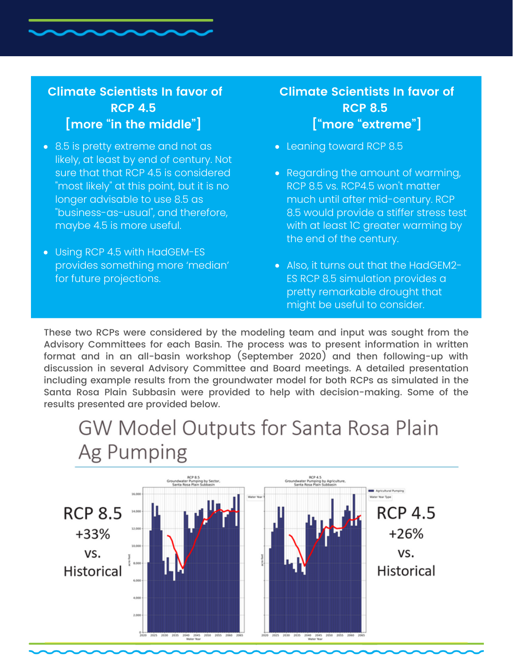### **Climate Scientists In favor of RCP 4.5 [more "in the middle"]**

- 8.5 is pretty extreme and not as likely, at least by end of century. Not sure that that RCP 4.5 is considered "most likely" at this point, but it is no longer advisable to use 8.5 as "business-as-usual", and therefore, maybe 4.5 is more useful.
- Using RCP 4.5 with HadGEM-ES provides something more 'median' for future projections.

### **Climate Scientists In favor of RCP 8.5 ["more "extreme"]**

- Leaning toward RCP 8.5
- Regarding the amount of warming, RCP 8.5 vs. RCP4.5 won't matter much until after mid-century. RCP 8.5 would provide a stiffer stress test with at least 1C greater warming by the end of the century.
- Also, it turns out that the HadGEM2- ES RCP 8.5 simulation provides a pretty remarkable drought that might be useful to consider.

These two RCPs were considered by the modeling team and input was sought from the Advisory Committees for each Basin. The process was to present information in written format and in an all-basin workshop (September 2020) and then following-up with discussion in several Advisory Committee and Board meetings. A detailed presentation including example results from the groundwater model for both RCPs as simulated in the Santa Rosa Plain Subbasin were provided to help with decision-making. Some of the results presented are provided below.

## GW Model Outputs for Santa Rosa Plain Ag Pumping

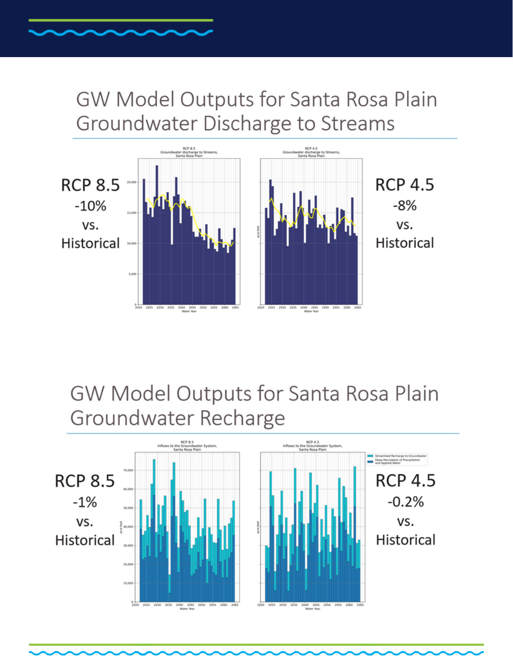# GW Model Outputs for Santa Rosa Plain Groundwater Discharge to Streams



GW Model Outputs for Santa Rosa Plain Groundwater Recharge

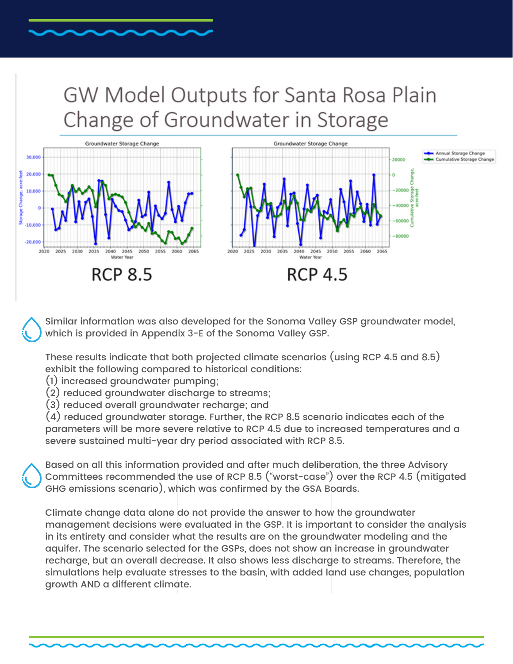# GW Model Outputs for Santa Rosa Plain Change of Groundwater in Storage



Similar information was also developed for the Sonoma Valley GSP groundwater model, which is provided in Appendix 3-E of the Sonoma Valley GSP.

These results indicate that both projected climate scenarios (using RCP 4.5 and 8.5) exhibit the following compared to historical conditions:

- (1) increased groundwater pumping;
- (2) reduced groundwater discharge to streams;
- (3) reduced overall groundwater recharge; and

(4) reduced groundwater storage. Further, the RCP 8.5 scenario indicates each of the parameters will be more severe relative to RCP 4.5 due to increased temperatures and a severe sustained multi-year dry period associated with RCP 8.5.

Based on all this information provided and after much deliberation, the three Advisory Committees recommended the use of RCP 8.5 ("worst-case") over the RCP 4.5 (mitigated GHG emissions scenario), which was confirmed by the GSA Boards.

Climate change data alone do not provide the answer to how the groundwater management decisions were evaluated in the GSP. It is important to consider the analysis in its entirety and consider what the results are on the groundwater modeling and the aquifer. The scenario selected for the GSPs, does not show an increase in groundwater recharge, but an overall decrease. It also shows less discharge to streams. Therefore, the simulations help evaluate stresses to the basin, with added land use changes, population growth AND a different climate.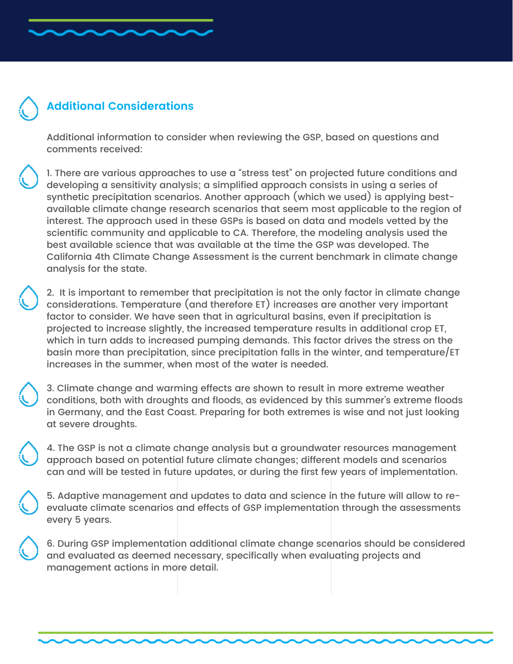### **Additional Considerations**

Additional information to consider when reviewing the GSP, based on questions and comments received:

1. There are various approaches to use a "stress test" on projected future conditions and developing a sensitivity analysis; a simplified approach consists in using a series of synthetic precipitation scenarios. Another approach (which we used) is applying bestavailable climate change research scenarios that seem most applicable to the region of interest. The approach used in these GSPs is based on data and models vetted by the scientific community and applicable to CA. Therefore, the modeling analysis used the best available science that was available at the time the GSP was developed. The California 4th Climate Change Assessment is the current benchmark in climate change analysis for the state.

2. It is important to remember that precipitation is not the only factor in climate change considerations. Temperature (and therefore ET) increases are another very important factor to consider. We have seen that in agricultural basins, even if precipitation is projected to increase slightly, the increased temperature results in additional crop ET, which in turn adds to increased pumping demands. This factor drives the stress on the basin more than precipitation, since precipitation falls in the winter, and temperature/ET increases in the summer, when most of the water is needed.

3. Climate change and warming effects are shown to result in more extreme weather conditions, both with droughts and floods, as evidenced by this summer's extreme floods in Germany, and the East Coast. Preparing for both extremes is wise and not just looking at severe droughts.

4. The GSP is not a climate change analysis but a groundwater resources management approach based on potential future climate changes; different models and scenarios can and will be tested in future updates, or during the first few years of implementation.

5. Adaptive management and updates to data and science in the future will allow to reevaluate climate scenarios and effects of GSP implementation through the assessments every 5 years.

6. During GSP implementation additional climate change scenarios should be considered and evaluated as deemed necessary, specifically when evaluating projects and management actions in more detail.